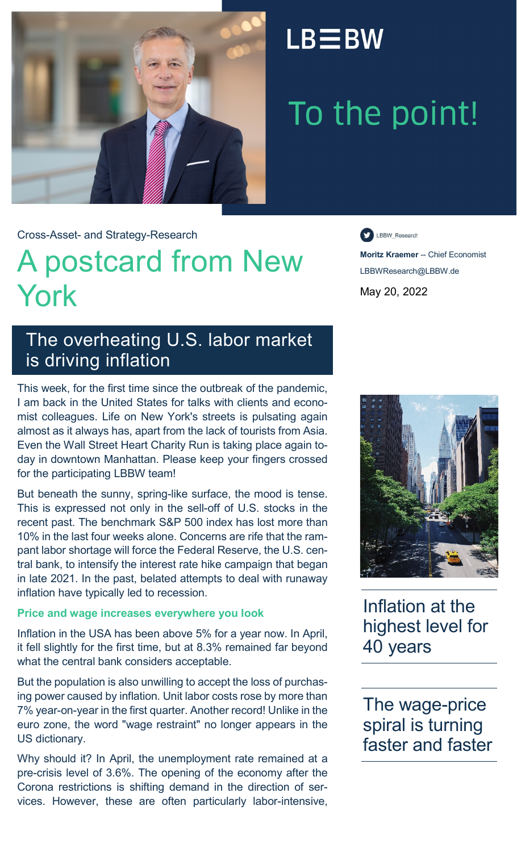

### $LB \equiv BW$

# To the point!

Cross-Asset- and Strategy-Research

## A postcard from New York

LBBW\_Research

**Moritz Kraemer** -- Chief Economist LBBWResearch@LBBW.de May 20, 2022

### The overheating U.S. labor market is driving inflation

This week, for the first time since the outbreak of the pandemic, I am back in the United States for talks with clients and economist colleagues. Life on New York's streets is pulsating again almost as it always has, apart from the lack of tourists from Asia. Even the Wall Street Heart Charity Run is taking place again today in downtown Manhattan. Please keep your fingers crossed for the participating LBBW team!

But beneath the sunny, spring-like surface, the mood is tense. This is expressed not only in the sell-off of U.S. stocks in the recent past. The benchmark S&P 500 index has lost more than 10% in the last four weeks alone. Concerns are rife that the rampant labor shortage will force the Federal Reserve, the U.S. central bank, to intensify the interest rate hike campaign that began in late 2021. In the past, belated attempts to deal with runaway inflation have typically led to recession.

#### **Price and wage increases everywhere you look**

Inflation in the USA has been above 5% for a year now. In April, it fell slightly for the first time, but at 8.3% remained far beyond what the central bank considers acceptable.

But the population is also unwilling to accept the loss of purchasing power caused by inflation. Unit labor costs rose by more than 7% year-on-year in the first quarter. Another record! Unlike in the euro zone, the word "wage restraint" no longer appears in the US dictionary.

Why should it? In April, the unemployment rate remained at a pre-crisis level of 3.6%. The opening of the economy after the Corona restrictions is shifting demand in the direction of services. However, these are often particularly labor-intensive,



Inflation at the highest level for 40 years

The wage-price spiral is turning faster and faster